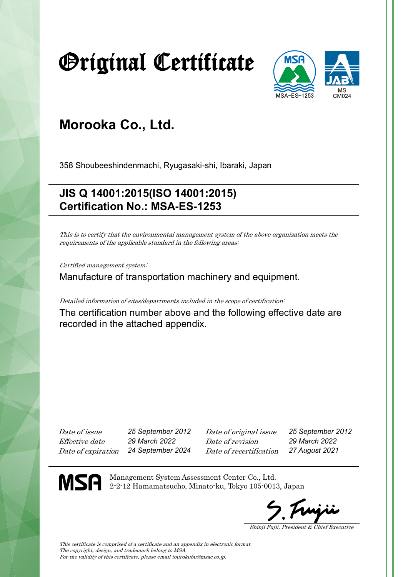# Original Certificate



### **Morooka Co., Ltd.**

358 Shoubeeshindenmachi, Ryugasaki-shi, Ibaraki, Japan

### **JIS Q 14001:2015(ISO 14001:2015) Certification No.: MSA-ES-1253**

This is to certify that the environmental management system of the above organization meets the requirements of the applicable standard in the following areas:

Certified management system:

Manufacture of transportation machinery and equipment.

Detailed information of sites/departments included in the scope of certification:

The certification number above and the following effective date are recorded in the attached appendix.

Date of issue *25 September 2012* Date of original issue *25 September 2012* Effective date *29 March 2022* Date of revision *29 March 2022* Date of expiration *24 September 2024* Date of recertification *27 August 2021*

**MSA** 

Management System Assessment Center Co., Ltd. 2-2-12 Hamamatsucho, Minato-ku, Tokyo 105-0013, Japan

Shinji Fujii, President & Chief Executive

This certificate is comprised of a certificate and an appendix in electronic format. The copyright, design, and trademark belong to MSA. For the validity of this certificate, please email tourokubu@msac.co.jp.